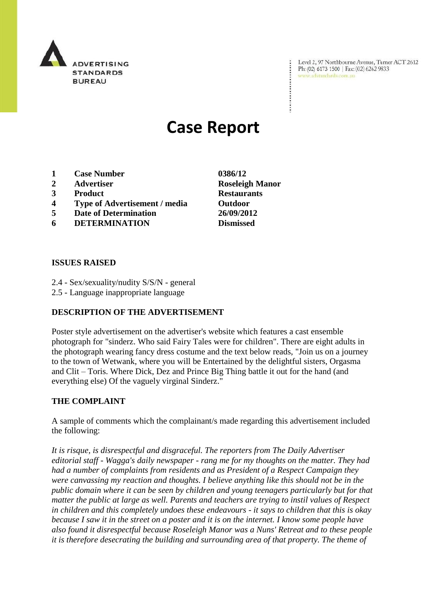

Level 2, 97 Northbourne Avenue, Turner ACT 2612 Ph: (02) 6173 1500 | Fax: (02) 6262 9833 www.adstandards.com.au

# **Case Report**

- **1 Case Number 0386/12**
- **2 Advertiser Roseleigh Manor**
- **3 Product Restaurants**
- **4 Type of Advertisement / media Outdoor**
- **5 Date of Determination 26/09/2012**
- **6 DETERMINATION Dismissed**

## **ISSUES RAISED**

- 2.4 Sex/sexuality/nudity S/S/N general
- 2.5 Language inappropriate language

# **DESCRIPTION OF THE ADVERTISEMENT**

Poster style advertisement on the advertiser's website which features a cast ensemble photograph for "sinderz. Who said Fairy Tales were for children". There are eight adults in the photograph wearing fancy dress costume and the text below reads, "Join us on a journey to the town of Wetwank, where you will be Entertained by the delightful sisters, Orgasma and Clit – Toris. Where Dick, Dez and Prince Big Thing battle it out for the hand (and everything else) Of the vaguely virginal Sinderz."

# **THE COMPLAINT**

A sample of comments which the complainant/s made regarding this advertisement included the following:

*It is risque, is disrespectful and disgraceful. The reporters from The Daily Advertiser editorial staff - Wagga's daily newspaper - rang me for my thoughts on the matter. They had had a number of complaints from residents and as President of a Respect Campaign they were canvassing my reaction and thoughts. I believe anything like this should not be in the public domain where it can be seen by children and young teenagers particularly but for that matter the public at large as well. Parents and teachers are trying to instil values of Respect in children and this completely undoes these endeavours - it says to children that this is okay because I saw it in the street on a poster and it is on the internet. I know some people have also found it disrespectful because Roseleigh Manor was a Nuns' Retreat and to these people it is therefore desecrating the building and surrounding area of that property. The theme of*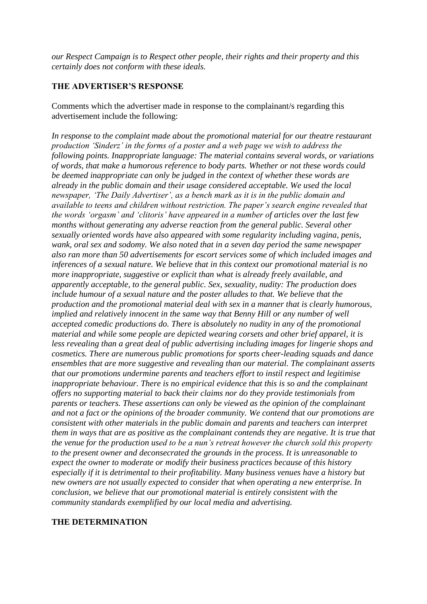*our Respect Campaign is to Respect other people, their rights and their property and this certainly does not conform with these ideals.*

## **THE ADVERTISER'S RESPONSE**

Comments which the advertiser made in response to the complainant/s regarding this advertisement include the following:

*In response to the complaint made about the promotional material for our theatre restaurant production 'Sinderz' in the forms of a poster and a web page we wish to address the following points. Inappropriate language: The material contains several words, or variations of words, that make a humorous reference to body parts. Whether or not these words could be deemed inappropriate can only be judged in the context of whether these words are already in the public domain and their usage considered acceptable. We used the local newspaper, 'The Daily Advertiser', as a bench mark as it is in the public domain and available to teens and children without restriction. The paper's search engine revealed that the words 'orgasm' and 'clitoris' have appeared in a number of articles over the last few months without generating any adverse reaction from the general public. Several other sexually oriented words have also appeared with some regularity including vagina, penis, wank, oral sex and sodomy. We also noted that in a seven day period the same newspaper also ran more than 50 advertisements for escort services some of which included images and inferences of a sexual nature. We believe that in this context our promotional material is no more inappropriate, suggestive or explicit than what is already freely available, and apparently acceptable, to the general public. Sex, sexuality, nudity: The production does include humour of a sexual nature and the poster alludes to that. We believe that the production and the promotional material deal with sex in a manner that is clearly humorous, implied and relatively innocent in the same way that Benny Hill or any number of well accepted comedic productions do. There is absolutely no nudity in any of the promotional material and while some people are depicted wearing corsets and other brief apparel, it is less revealing than a great deal of public advertising including images for lingerie shops and cosmetics. There are numerous public promotions for sports cheer-leading squads and dance ensembles that are more suggestive and revealing than our material. The complainant asserts that our promotions undermine parents and teachers effort to instil respect and legitimise inappropriate behaviour. There is no empirical evidence that this is so and the complainant offers no supporting material to back their claims nor do they provide testimonials from parents or teachers. These assertions can only be viewed as the opinion of the complainant and not a fact or the opinions of the broader community. We contend that our promotions are consistent with other materials in the public domain and parents and teachers can interpret them in ways that are as positive as the complainant contends they are negative. It is true that the venue for the production used to be a nun's retreat however the church sold this property to the present owner and deconsecrated the grounds in the process. It is unreasonable to expect the owner to moderate or modify their business practices because of this history especially if it is detrimental to their profitability. Many business venues have a history but new owners are not usually expected to consider that when operating a new enterprise. In conclusion, we believe that our promotional material is entirely consistent with the community standards exemplified by our local media and advertising.* 

#### **THE DETERMINATION**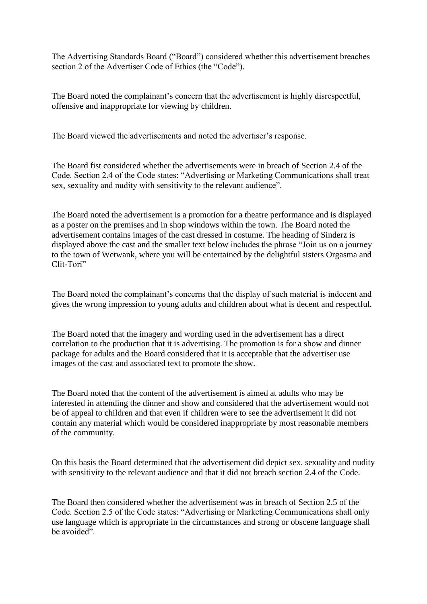The Advertising Standards Board ("Board") considered whether this advertisement breaches section 2 of the Advertiser Code of Ethics (the "Code").

The Board noted the complainant's concern that the advertisement is highly disrespectful, offensive and inappropriate for viewing by children.

The Board viewed the advertisements and noted the advertiser's response.

The Board fist considered whether the advertisements were in breach of Section 2.4 of the Code. Section 2.4 of the Code states: "Advertising or Marketing Communications shall treat sex, sexuality and nudity with sensitivity to the relevant audience".

The Board noted the advertisement is a promotion for a theatre performance and is displayed as a poster on the premises and in shop windows within the town. The Board noted the advertisement contains images of the cast dressed in costume. The heading of Sinderz is displayed above the cast and the smaller text below includes the phrase "Join us on a journey to the town of Wetwank, where you will be entertained by the delightful sisters Orgasma and Clit-Tori"

The Board noted the complainant's concerns that the display of such material is indecent and gives the wrong impression to young adults and children about what is decent and respectful.

The Board noted that the imagery and wording used in the advertisement has a direct correlation to the production that it is advertising. The promotion is for a show and dinner package for adults and the Board considered that it is acceptable that the advertiser use images of the cast and associated text to promote the show.

The Board noted that the content of the advertisement is aimed at adults who may be interested in attending the dinner and show and considered that the advertisement would not be of appeal to children and that even if children were to see the advertisement it did not contain any material which would be considered inappropriate by most reasonable members of the community.

On this basis the Board determined that the advertisement did depict sex, sexuality and nudity with sensitivity to the relevant audience and that it did not breach section 2.4 of the Code.

The Board then considered whether the advertisement was in breach of Section 2.5 of the Code. Section 2.5 of the Code states: "Advertising or Marketing Communications shall only use language which is appropriate in the circumstances and strong or obscene language shall be avoided".